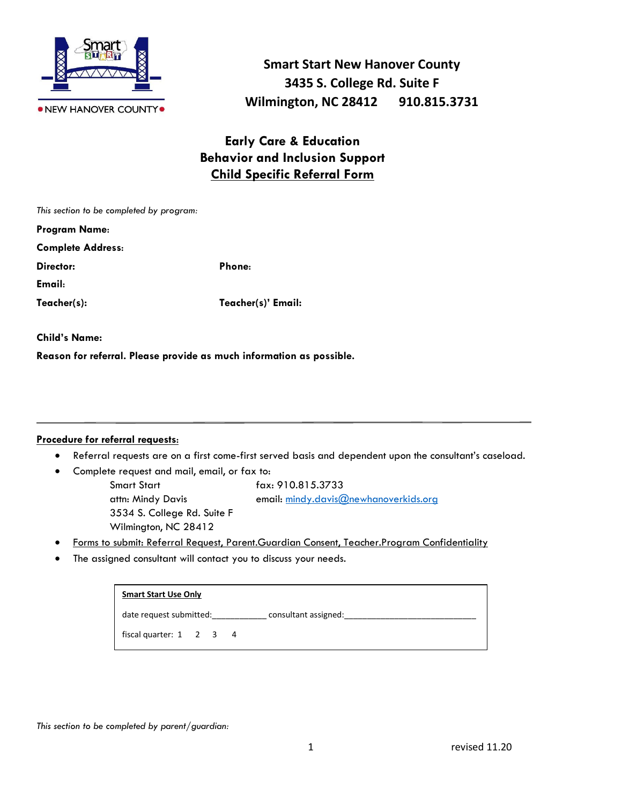

**Smart Start New Hanover County 3435 S. College Rd. Suite F Wilmington, NC 28412 910.815.3731**

## **Early Care & Education Behavior and Inclusion Support Child Specific Referral Form**

| This section to be completed by program: |                    |
|------------------------------------------|--------------------|
| <b>Program Name:</b>                     |                    |
| <b>Complete Address:</b>                 |                    |
| Director:                                | Phone:             |
| Email:                                   |                    |
| Teacher(s):                              | Teacher(s)' Email: |
|                                          |                    |

**Child's Name:** 

**Reason for referral. Please provide as much information as possible.**

## **Procedure for referral requests**:

- Referral requests are on a first come-first served basis and dependent upon the consultant's caseload.
- Complete request and mail, email, or fax to:
	- Smart Start fax: 910.815.3733 attn: Mindy Davis email: [mindy.davis@newhanoverkids.org](mailto:mindy.davis@newhanoverkids.org) 3534 S. College Rd. Suite F Wilmington, NC 28412
- Forms to submit: Referral Request, Parent.Guardian Consent, Teacher.Program Confidentiality
- The assigned consultant will contact you to discuss your needs.

| <b>Smart Start Use Only</b>         |  |                |                      |
|-------------------------------------|--|----------------|----------------------|
| date request submitted:             |  |                | consultant assigned: |
| fiscal quarter: $1 \quad 2 \quad 3$ |  | $\overline{4}$ |                      |

*This section to be completed by parent/guardian:*